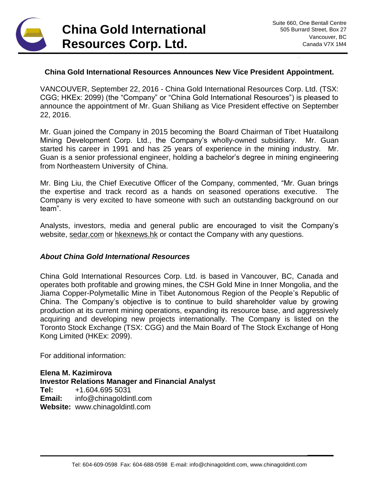

**\_\_\_\_\_\_**

## **China Gold International Resources Announces New Vice President Appointment.**

VANCOUVER, September 22, 2016 - China Gold International Resources Corp. Ltd. (TSX: CGG; HKEx: 2099) (the "Company" or "China Gold International Resources") is pleased to announce the appointment of Mr. Guan Shiliang as Vice President effective on September 22, 2016.

Mr. Guan joined the Company in 2015 becoming the Board Chairman of Tibet Huatailong Mining Development Corp. Ltd., the Company's wholly-owned subsidiary. Mr. Guan started his career in 1991 and has 25 years of experience in the mining industry. Mr. Guan is a senior professional engineer, holding a bachelor's degree in mining engineering from Northeastern University of China.

Mr. Bing Liu, the Chief Executive Officer of the Company, commented, "Mr. Guan brings the expertise and track record as a hands on seasoned operations executive. The Company is very excited to have someone with such an outstanding background on our team".

Analysts, investors, media and general public are encouraged to visit the Company's website, [sedar.com](http://www.sedar.com/) or [hkexnews.hk](http://www.hkexnews.hk/) or contact the Company with any questions.

## *About China Gold International Resources*

China Gold International Resources Corp. Ltd. is based in Vancouver, BC, Canada and operates both profitable and growing mines, the CSH Gold Mine in Inner Mongolia, and the Jiama Copper-Polymetallic Mine in Tibet Autonomous Region of the People's Republic of China. The Company's objective is to continue to build shareholder value by growing production at its current mining operations, expanding its resource base, and aggressively acquiring and developing new projects internationally. The Company is listed on the Toronto Stock Exchange (TSX: CGG) and the Main Board of The Stock Exchange of Hong Kong Limited (HKEx: 2099).

For additional information:

**Elena M. Kazimirova Investor Relations Manager and Financial Analyst Tel:** +1.604.695 5031 **Email:** info@chinagoldintl.com **Website:** www.chinagoldintl.com